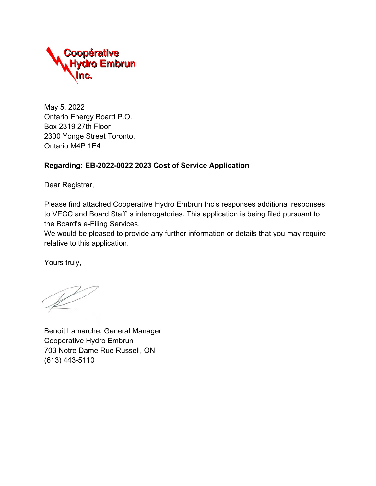

May 5, 2022 Ontario Energy Board P.O. Box 2319 27th Floor 2300 Yonge Street Toronto, Ontario M4P 1E4

#### **Regarding: EB-2022-0022 2023 Cost of Service Application**

Dear Registrar,

Please find attached Cooperative Hydro Embrun Inc's responses additional responses to VECC and Board Staff' s interrogatories. This application is being filed pursuant to the Board's e-Filing Services.

We would be pleased to provide any further information or details that you may require relative to this application.

Yours truly,

Benoit Lamarche, General Manager Cooperative Hydro Embrun 703 Notre Dame Rue Russell, ON (613) 443-5110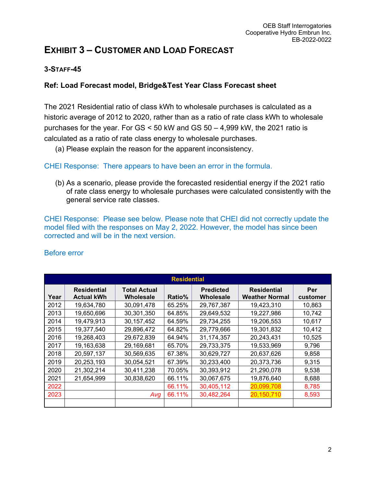# **EXHIBIT 3 – CUSTOMER AND LOAD FORECAST**

#### **3-STAFF-45**

#### **Ref: Load Forecast model, Bridge&Test Year Class Forecast sheet**

The 2021 Residential ratio of class kWh to wholesale purchases is calculated as a historic average of 2012 to 2020, rather than as a ratio of rate class kWh to wholesale purchases for the year. For GS < 50 kW and GS 50 – 4,999 kW, the 2021 ratio is calculated as a ratio of rate class energy to wholesale purchases.

(a) Please explain the reason for the apparent inconsistency.

#### CHEI Response: There appears to have been an error in the formula.

(b) As a scenario, please provide the forecasted residential energy if the 2021 ratio of rate class energy to wholesale purchases were calculated consistently with the general service rate classes.

CHEI Response: Please see below. Please note that CHEI did not correctly update the model filed with the responses on May 2, 2022. However, the model has since been corrected and will be in the next version.

|      | <b>Residential</b>                      |                                  |        |                               |                                             |                 |  |  |  |  |
|------|-----------------------------------------|----------------------------------|--------|-------------------------------|---------------------------------------------|-----------------|--|--|--|--|
| Year | <b>Residential</b><br><b>Actual kWh</b> | <b>Total Actual</b><br>Wholesale | Ratio% | <b>Predicted</b><br>Wholesale | <b>Residential</b><br><b>Weather Normal</b> | Per<br>customer |  |  |  |  |
| 2012 | 19,634,780                              | 30,091,478                       | 65.25% | 29,767,387                    | 19,423,310                                  | 10,863          |  |  |  |  |
| 2013 | 19,650,696                              | 30,301,350                       | 64.85% | 29,649,532                    | 19,227,986                                  | 10,742          |  |  |  |  |
| 2014 | 19,479,913                              | 30,157,452                       | 64.59% | 29,734,255                    | 19,206,553                                  | 10,617          |  |  |  |  |
| 2015 | 19,377,540                              | 29,896,472                       | 64.82% | 29,779,666                    | 19,301,832                                  | 10,412          |  |  |  |  |
| 2016 | 19,268,403                              | 29,672,839                       | 64.94% | 31,174,357                    | 20,243,431                                  | 10,525          |  |  |  |  |
| 2017 | 19,163,638                              | 29,169,681                       | 65.70% | 29,733,375                    | 19,533,969                                  | 9,796           |  |  |  |  |
| 2018 | 20,597,137                              | 30,569,635                       | 67.38% | 30,629,727                    | 20,637,626                                  | 9,858           |  |  |  |  |
| 2019 | 20,253,193                              | 30,054,521                       | 67.39% | 30,233,400                    | 20,373,736                                  | 9,315           |  |  |  |  |
| 2020 | 21,302,214                              | 30,411,238                       | 70.05% | 30,393,912                    | 21,290,078                                  | 9,538           |  |  |  |  |
| 2021 | 21,654,999                              | 30,838,620                       | 66.11% | 30,067,675                    | 19,876,640                                  | 8,688           |  |  |  |  |
| 2022 |                                         |                                  | 66.11% | 30,405,112                    | 20,099,708                                  | 8,785           |  |  |  |  |
| 2023 |                                         | Avg                              | 66.11% | 30,482,264                    | 20,150,710                                  | 8,593           |  |  |  |  |
|      |                                         |                                  |        |                               |                                             |                 |  |  |  |  |

#### Before error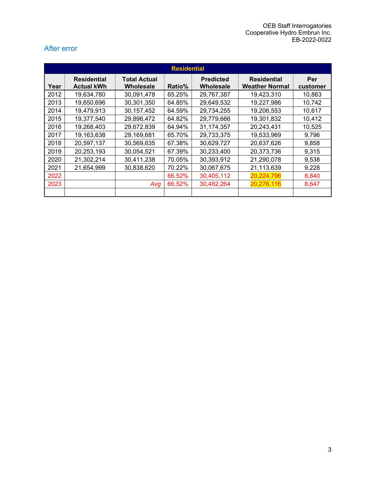#### After error

| <b>Residential</b> |                                         |                                  |        |                               |                                             |                 |  |  |
|--------------------|-----------------------------------------|----------------------------------|--------|-------------------------------|---------------------------------------------|-----------------|--|--|
| Year               | <b>Residential</b><br><b>Actual kWh</b> | <b>Total Actual</b><br>Wholesale | Ratio% | <b>Predicted</b><br>Wholesale | <b>Residential</b><br><b>Weather Normal</b> | Per<br>customer |  |  |
| 2012               | 19,634,780                              | 30,091,478                       | 65.25% | 29,767,387                    | 19,423,310                                  | 10,863          |  |  |
| 2013               | 19,650,696                              | 30,301,350                       | 64.85% | 29,649,532                    | 19,227,986                                  | 10,742          |  |  |
| 2014               | 19,479,913                              | 30,157,452                       | 64.59% | 29,734,255                    | 19,206,553                                  | 10,617          |  |  |
| 2015               | 19,377,540                              | 29,896,472                       | 64.82% | 29,779,666                    | 19,301,832                                  | 10,412          |  |  |
| 2016               | 19,268,403                              | 29,672,839                       | 64.94% | 31, 174, 357                  | 20,243,431                                  | 10,525          |  |  |
| 2017               | 19,163,638                              | 29,169,681                       | 65.70% | 29,733,375                    | 19,533,969                                  | 9,796           |  |  |
| 2018               | 20,597,137                              | 30,569,635                       | 67.38% | 30,629,727                    | 20,637,626                                  | 9,858           |  |  |
| 2019               | 20,253,193                              | 30,054,521                       | 67.39% | 30,233,400                    | 20,373,736                                  | 9,315           |  |  |
| 2020               | 21,302,214                              | 30,411,238                       | 70.05% | 30,393,912                    | 21,290,078                                  | 9,538           |  |  |
| 2021               | 21,654,999                              | 30,838,620                       | 70.22% | 30,067,675                    | 21,113,639                                  | 9,228           |  |  |
| 2022               |                                         |                                  | 66.52% | 30,405,112                    | 20,224,796                                  | 8,840           |  |  |
| 2023               |                                         | Avg                              | 66.52% | 30,482,264                    | 20,276,116                                  | 8,647           |  |  |
|                    |                                         |                                  |        |                               |                                             |                 |  |  |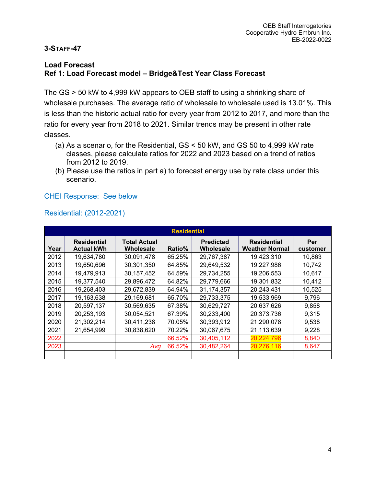#### **3-STAFF-47**

#### **Load Forecast Ref 1: Load Forecast model – Bridge&Test Year Class Forecast**

The GS > 50 kW to 4,999 kW appears to OEB staff to using a shrinking share of wholesale purchases. The average ratio of wholesale to wholesale used is 13.01%. This is less than the historic actual ratio for every year from 2012 to 2017, and more than the ratio for every year from 2018 to 2021. Similar trends may be present in other rate classes.

- (a) As a scenario, for the Residential, GS < 50 kW, and GS 50 to 4,999 kW rate classes, please calculate ratios for 2022 and 2023 based on a trend of ratios from 2012 to 2019.
- (b) Please use the ratios in part a) to forecast energy use by rate class under this scenario.

#### CHEI Response: See below

#### Residential: (2012-2021)

| <b>Residential</b> |                                         |                                  |        |                               |                                             |                 |  |  |  |
|--------------------|-----------------------------------------|----------------------------------|--------|-------------------------------|---------------------------------------------|-----------------|--|--|--|
| Year               | <b>Residential</b><br><b>Actual kWh</b> | <b>Total Actual</b><br>Wholesale | Ratio% | <b>Predicted</b><br>Wholesale | <b>Residential</b><br><b>Weather Normal</b> | Per<br>customer |  |  |  |
| 2012               | 19,634,780                              | 30,091,478                       | 65.25% | 29,767,387                    | 19,423,310                                  | 10,863          |  |  |  |
| 2013               | 19,650,696                              | 30,301,350                       | 64.85% | 29,649,532                    | 19,227,986                                  | 10,742          |  |  |  |
| 2014               | 19,479,913                              | 30,157,452                       | 64.59% | 29,734,255                    | 19,206,553                                  | 10,617          |  |  |  |
| 2015               | 19,377,540                              | 29,896,472                       | 64.82% | 29,779,666                    | 19,301,832                                  | 10,412          |  |  |  |
| 2016               | 19,268,403                              | 29,672,839                       | 64.94% | 31,174,357                    | 20,243,431                                  | 10,525          |  |  |  |
| 2017               | 19,163,638                              | 29,169,681                       | 65.70% | 29,733,375                    | 19,533,969                                  | 9,796           |  |  |  |
| 2018               | 20,597,137                              | 30,569,635                       | 67.38% | 30,629,727                    | 20,637,626                                  | 9,858           |  |  |  |
| 2019               | 20,253,193                              | 30,054,521                       | 67.39% | 30,233,400                    | 20,373,736                                  | 9,315           |  |  |  |
| 2020               | 21,302,214                              | 30,411,238                       | 70.05% | 30,393,912                    | 21,290,078                                  | 9,538           |  |  |  |
| 2021               | 21,654,999                              | 30,838,620                       | 70.22% | 30,067,675                    | 21,113,639                                  | 9,228           |  |  |  |
| 2022               |                                         |                                  | 66.52% | 30,405,112                    | 20,224,796                                  | 8,840           |  |  |  |
| 2023               |                                         | Avg                              | 66.52% | 30,482,264                    | 20,276,116                                  | 8,647           |  |  |  |
|                    |                                         |                                  |        |                               |                                             |                 |  |  |  |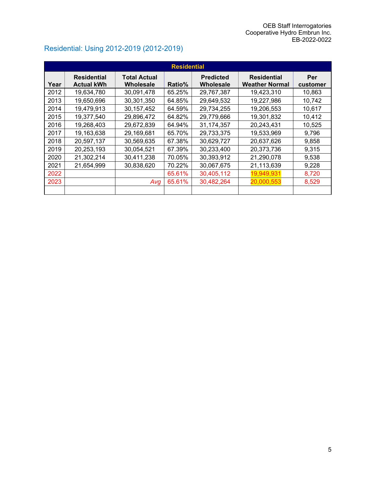|      | <b>Residential</b>                      |                                  |        |                               |                                             |                 |  |  |  |  |
|------|-----------------------------------------|----------------------------------|--------|-------------------------------|---------------------------------------------|-----------------|--|--|--|--|
| Year | <b>Residential</b><br><b>Actual kWh</b> | <b>Total Actual</b><br>Wholesale | Ratio% | <b>Predicted</b><br>Wholesale | <b>Residential</b><br><b>Weather Normal</b> | Per<br>customer |  |  |  |  |
| 2012 | 19,634,780                              | 30,091,478                       | 65.25% | 29,767,387                    | 19,423,310                                  | 10,863          |  |  |  |  |
| 2013 | 19,650,696                              | 30,301,350                       | 64.85% | 29,649,532                    | 19,227,986                                  | 10,742          |  |  |  |  |
| 2014 | 19,479,913                              | 30,157,452                       | 64.59% | 29,734,255                    | 19,206,553                                  | 10,617          |  |  |  |  |
| 2015 | 19,377,540                              | 29,896,472                       | 64.82% | 29,779,666                    | 19,301,832                                  | 10,412          |  |  |  |  |
| 2016 | 19,268,403                              | 29,672,839                       | 64.94% | 31,174,357                    | 20,243,431                                  | 10,525          |  |  |  |  |
| 2017 | 19,163,638                              | 29,169,681                       | 65.70% | 29,733,375                    | 19,533,969                                  | 9,796           |  |  |  |  |
| 2018 | 20,597,137                              | 30,569,635                       | 67.38% | 30,629,727                    | 20,637,626                                  | 9,858           |  |  |  |  |
| 2019 | 20,253,193                              | 30,054,521                       | 67.39% | 30,233,400                    | 20,373,736                                  | 9,315           |  |  |  |  |
| 2020 | 21,302,214                              | 30,411,238                       | 70.05% | 30,393,912                    | 21,290,078                                  | 9,538           |  |  |  |  |
| 2021 | 21,654,999                              | 30,838,620                       | 70.22% | 30,067,675                    | 21,113,639                                  | 9,228           |  |  |  |  |
| 2022 |                                         |                                  | 65.61% | 30,405,112                    | 19,949,931                                  | 8,720           |  |  |  |  |
| 2023 |                                         | Avg                              | 65.61% | 30,482,264                    | 20,000,553                                  | 8,529           |  |  |  |  |
|      |                                         |                                  |        |                               |                                             |                 |  |  |  |  |

# Residential: Using 2012-2019 (2012-2019)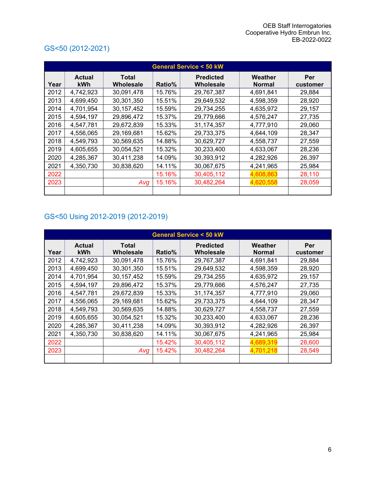#### **General Service < 50 kW Year Actual kWh Total Wholesale Ratio% Predicted Wholesale Weather Normal Per customer** 2012 4,742,923 30,091,478 15.76% 29,767,387 4,691,841 29,884 2013 4,699,450 30,301,350 15.51% 29,649,532 4,598,359 28,920 2014 4,701,954 30,157,452 15.59% 29,734,255 4,635,972 29,157 2015 4,594,197 29,896,472 15.37% 29,779,666 4,576,247 27,735 2016 4,547,781 29,672,839 15.33% 31,174,357 4,777,910 29,060 2017 4,556,065 29,169,681 15.62% 29,733,375 4,644,109 28,347 2018 4,549,793 30,569,635 14.88% 30,629,727 4,558,737 27,559 2019 4,605,655 30,054,521 15.32% 30,233,400 4,633,067 28,236 2020 4,285,367 30,411,238 4.09% 30,393,912 4,282,926 36,397 2021 4,350,730 30,838,620 14.11% 30,067,675 4,241,965 25,984 2022 15.16% 30,405,112 4,608,863 28,110 2023 *Avg* 15.16% 30,482,264 4,620,558 28,059 2023 15.16% 30,482,264 4,620,558 28,304

#### GS<50 (2012-2021)

#### GS<50 Using 2012-2019 (2012-2019)

|      | <b>General Service &lt; 50 kW</b> |                           |        |                               |                          |                 |  |  |  |  |  |
|------|-----------------------------------|---------------------------|--------|-------------------------------|--------------------------|-----------------|--|--|--|--|--|
| Year | <b>Actual</b><br><b>kWh</b>       | <b>Total</b><br>Wholesale | Ratio% | <b>Predicted</b><br>Wholesale | Weather<br><b>Normal</b> | Per<br>customer |  |  |  |  |  |
| 2012 | 4,742,923                         | 30,091,478                | 15.76% | 29,767,387                    | 4,691,841                | 29,884          |  |  |  |  |  |
| 2013 | 4,699,450                         | 30,301,350                | 15.51% | 29,649,532                    | 4,598,359                | 28,920          |  |  |  |  |  |
| 2014 | 4,701,954                         | 30, 157, 452              | 15.59% | 29,734,255                    | 4,635,972                | 29,157          |  |  |  |  |  |
| 2015 | 4,594,197                         | 29,896,472                | 15.37% | 29,779,666                    | 4,576,247                | 27,735          |  |  |  |  |  |
| 2016 | 4,547,781                         | 29,672,839                | 15.33% | 31,174,357                    | 4,777,910                | 29,060          |  |  |  |  |  |
| 2017 | 4,556,065                         | 29,169,681                | 15.62% | 29,733,375                    | 4,644,109                | 28,347          |  |  |  |  |  |
| 2018 | 4,549,793                         | 30,569,635                | 14.88% | 30,629,727                    | 4,558,737                | 27,559          |  |  |  |  |  |
| 2019 | 4,605,655                         | 30,054,521                | 15.32% | 30,233,400                    | 4,633,067                | 28,236          |  |  |  |  |  |
| 2020 | 4,285,367                         | 30,411,238                | 14.09% | 30,393,912                    | 4,282,926                | 26,397          |  |  |  |  |  |
| 2021 | 4,350,730                         | 30,838,620                | 14.11% | 30,067,675                    | 4,241,965                | 25,984          |  |  |  |  |  |
| 2022 |                                   |                           | 15.42% | 30,405,112                    | 4,689,319                | 28,600          |  |  |  |  |  |
| 2023 |                                   | Avg                       | 15.42% | 30,482,264                    | 4,701,218                | 28,549          |  |  |  |  |  |
|      |                                   |                           |        |                               |                          |                 |  |  |  |  |  |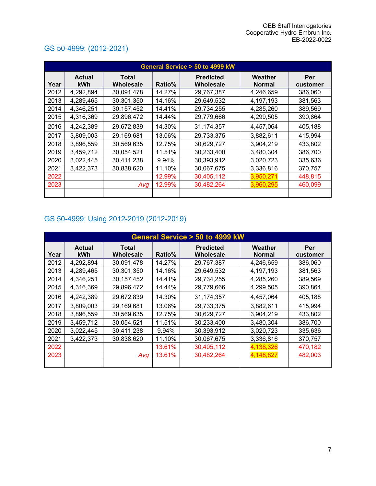|      | General Service > 50 to 4999 kW |                           |        |                               |                          |                 |  |  |  |  |
|------|---------------------------------|---------------------------|--------|-------------------------------|--------------------------|-----------------|--|--|--|--|
| Year | <b>Actual</b><br>kWh            | <b>Total</b><br>Wholesale | Ratio% | <b>Predicted</b><br>Wholesale | Weather<br><b>Normal</b> | Per<br>customer |  |  |  |  |
| 2012 | 4,292,894                       | 30,091,478                | 14.27% | 29,767,387                    | 4,246,659                | 386,060         |  |  |  |  |
| 2013 | 4,289,465                       | 30,301,350                | 14.16% | 29,649,532                    | 4,197,193                | 381,563         |  |  |  |  |
| 2014 | 4,346,251                       | 30, 157, 452              | 14.41% | 29,734,255                    | 4,285,260                | 389,569         |  |  |  |  |
| 2015 | 4,316,369                       | 29,896,472                | 14.44% | 29,779,666                    | 4,299,505                | 390,864         |  |  |  |  |
| 2016 | 4,242,389                       | 29,672,839                | 14.30% | 31,174,357                    | 4,457,064                | 405,188         |  |  |  |  |
| 2017 | 3,809,003                       | 29,169,681                | 13.06% | 29,733,375                    | 3,882,611                | 415,994         |  |  |  |  |
| 2018 | 3,896,559                       | 30,569,635                | 12.75% | 30,629,727                    | 3,904,219                | 433,802         |  |  |  |  |
| 2019 | 3,459,712                       | 30,054,521                | 11.51% | 30,233,400                    | 3,480,304                | 386.700         |  |  |  |  |
| 2020 | 3,022,445                       | 30,411,238                | 9.94%  | 30,393,912                    | 3,020,723                | 335,636         |  |  |  |  |
| 2021 | 3,422,373                       | 30,838,620                | 11.10% | 30,067,675                    | 3,336,816                | 370,757         |  |  |  |  |
| 2022 |                                 |                           | 12.99% | 30,405,112                    | 3,950,271                | 448,815         |  |  |  |  |
| 2023 |                                 | Avg                       | 12.99% | 30,482,264                    | 3,960,295                | 460,099         |  |  |  |  |
|      |                                 |                           |        |                               |                          |                 |  |  |  |  |

### GS 50-4999: (2012-2021)

### GS 50-4999: Using 2012-2019 (2012-2019)

|      | General Service > 50 to 4999 kW |                           |        |                               |                          |                 |  |  |  |
|------|---------------------------------|---------------------------|--------|-------------------------------|--------------------------|-----------------|--|--|--|
| Year | <b>Actual</b><br><b>kWh</b>     | <b>Total</b><br>Wholesale | Ratio% | <b>Predicted</b><br>Wholesale | Weather<br><b>Normal</b> | Per<br>customer |  |  |  |
| 2012 | 4,292,894                       | 30,091,478                | 14.27% | 29,767,387                    | 4,246,659                | 386,060         |  |  |  |
| 2013 | 4,289,465                       | 30,301,350                | 14.16% | 29,649,532                    | 4,197,193                | 381,563         |  |  |  |
| 2014 | 4,346,251                       | 30, 157, 452              | 14.41% | 29,734,255                    | 4,285,260                | 389,569         |  |  |  |
| 2015 | 4,316,369                       | 29,896,472                | 14.44% | 29,779,666                    | 4,299,505                | 390,864         |  |  |  |
| 2016 | 4,242,389                       | 29,672,839                | 14.30% | 31,174,357                    | 4,457,064                | 405,188         |  |  |  |
| 2017 | 3,809,003                       | 29,169,681                | 13.06% | 29,733,375                    | 3,882,611                | 415,994         |  |  |  |
| 2018 | 3,896,559                       | 30,569,635                | 12.75% | 30,629,727                    | 3,904,219                | 433,802         |  |  |  |
| 2019 | 3,459,712                       | 30,054,521                | 11.51% | 30,233,400                    | 3,480,304                | 386,700         |  |  |  |
| 2020 | 3,022,445                       | 30,411,238                | 9.94%  | 30,393,912                    | 3,020,723                | 335,636         |  |  |  |
| 2021 | 3,422,373                       | 30,838,620                | 11.10% | 30,067,675                    | 3,336,816                | 370,757         |  |  |  |
| 2022 |                                 |                           | 13.61% | 30,405,112                    | 4,138,326                | 470,182         |  |  |  |
| 2023 |                                 | Avg                       | 13.61% | 30,482,264                    | 4,148,827                | 482,003         |  |  |  |
|      |                                 |                           |        |                               |                          |                 |  |  |  |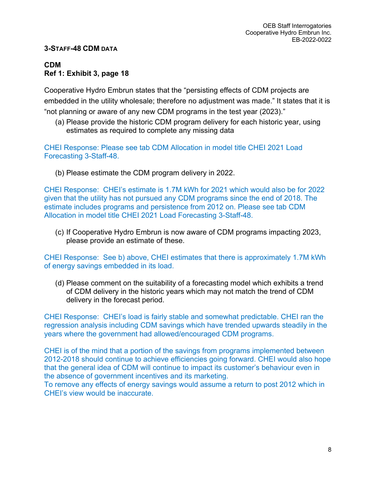#### **3-STAFF-48 CDM DATA**

#### **CDM Ref 1: Exhibit 3, page 18**

Cooperative Hydro Embrun states that the "persisting effects of CDM projects are embedded in the utility wholesale; therefore no adjustment was made." It states that it is "not planning or aware of any new CDM programs in the test year (2023)."

(a) Please provide the historic CDM program delivery for each historic year, using estimates as required to complete any missing data

CHEI Response: Please see tab CDM Allocation in model title CHEI 2021 Load Forecasting 3-Staff-48.

(b) Please estimate the CDM program delivery in 2022.

CHEI Response: CHEI's estimate is 1.7M kWh for 2021 which would also be for 2022 given that the utility has not pursued any CDM programs since the end of 2018. The estimate includes programs and persistence from 2012 on. Please see tab CDM Allocation in model title CHEI 2021 Load Forecasting 3-Staff-48.

(c) If Cooperative Hydro Embrun is now aware of CDM programs impacting 2023, please provide an estimate of these.

CHEI Response: See b) above, CHEI estimates that there is approximately 1.7M kWh of energy savings embedded in its load.

(d) Please comment on the suitability of a forecasting model which exhibits a trend of CDM delivery in the historic years which may not match the trend of CDM delivery in the forecast period.

CHEI Response: CHEI's load is fairly stable and somewhat predictable. CHEI ran the regression analysis including CDM savings which have trended upwards steadily in the years where the government had allowed/encouraged CDM programs.

CHEI is of the mind that a portion of the savings from programs implemented between 2012-2018 should continue to achieve efficiencies going forward. CHEI would also hope that the general idea of CDM will continue to impact its customer's behaviour even in the absence of government incentives and its marketing.

To remove any effects of energy savings would assume a return to post 2012 which in CHEI's view would be inaccurate.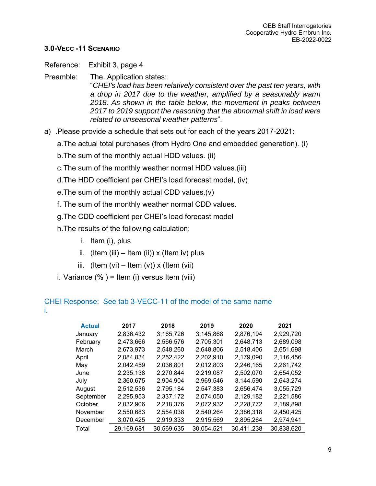#### **3.0-VECC -11 SCENARIO**

Reference: Exhibit 3, page 4

- Preamble: The. Application states: "*CHEI's load has been relatively consistent over the past ten years, with a drop in 2017 due to the weather, amplified by a seasonably warm 2018. As shown in the table below, the movement in peaks between 2017 to 2019 support the reasoning that the abnormal shift in load were related to unseasonal weather patterns*".
- a) .Please provide a schedule that sets out for each of the years 2017-2021:
	- a. The actual total purchases (from Hydro One and embedded generation). (i)
	- b. The sum of the monthly actual HDD values. (ii)
	- c. The sum of the monthly weather normal HDD values.(iii)
	- d. The HDD coefficient per CHEI's load forecast model, (iv)
	- e. The sum of the monthly actual CDD values.(v)
	- f. The sum of the monthly weather normal CDD values.
	- g. The CDD coefficient per CHEI's load forecast model
	- h. The results of the following calculation:
		- i. Item (i), plus
		- ii. (Item (iii) Item (ii)) x (Item iv) plus
		- iii. (Item  $(vi)$  Item  $(v)$ ) x (Item  $(vii)$
	- i. Variance  $(\%)$  = Item (i) versus Item (viii)

#### CHEI Response: See tab 3-VECC-11 of the model of the same name i.

| <b>Actual</b> | 2017       | 2018       | 2019       | 2020       | 2021       |
|---------------|------------|------------|------------|------------|------------|
| January       | 2,836,432  | 3,165,726  | 3,145,868  | 2,876,194  | 2,929,720  |
| February      | 2,473,666  | 2,566,576  | 2,705,301  | 2,648,713  | 2,689,098  |
| March         | 2,673,973  | 2,548,260  | 2,648,806  | 2,518,406  | 2,651,698  |
| April         | 2,084,834  | 2,252,422  | 2,202,910  | 2,179,090  | 2,116,456  |
| May           | 2,042,459  | 2,036,801  | 2,012,803  | 2,246,165  | 2,261,742  |
| June          | 2,235,138  | 2,270,844  | 2,219,087  | 2,502,070  | 2,654,052  |
| July          | 2,360,675  | 2,904,904  | 2,969,546  | 3,144,590  | 2,643,274  |
| August        | 2,512,536  | 2,795,184  | 2,547,383  | 2,656,474  | 3,055,729  |
| September     | 2,295,953  | 2,337,172  | 2,074,050  | 2,129,182  | 2,221,586  |
| October       | 2,032,906  | 2,218,376  | 2,072,932  | 2,228,772  | 2,189,898  |
| November      | 2,550,683  | 2,554,038  | 2,540,264  | 2,386,318  | 2,450,425  |
| December      | 3,070,425  | 2,919,333  | 2,915,569  | 2,895,264  | 2,974,941  |
| Total         | 29,169,681 | 30,569,635 | 30,054,521 | 30,411,238 | 30,838,620 |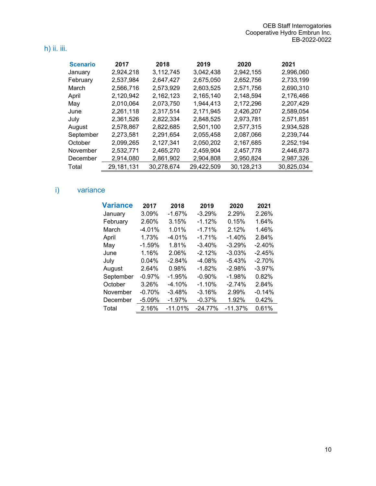### h) ii. iii.

| <b>Scenario</b> | 2017       | 2018       | 2019       | 2020       | 2021       |
|-----------------|------------|------------|------------|------------|------------|
| January         | 2,924,218  | 3,112,745  | 3,042,438  | 2,942,155  | 2,996,060  |
| February        | 2,537,984  | 2,647,427  | 2,675,050  | 2,652,756  | 2,733,199  |
| March           | 2,566,716  | 2,573,929  | 2,603,525  | 2,571,756  | 2,690,310  |
| April           | 2,120,942  | 2,162,123  | 2,165,140  | 2,148,594  | 2,176,466  |
| May             | 2,010,064  | 2,073,750  | 1,944,413  | 2,172,296  | 2,207,429  |
| June            | 2,261,118  | 2,317,514  | 2,171,945  | 2,426,207  | 2,589,054  |
| July            | 2,361,526  | 2,822,334  | 2,848,525  | 2,973,781  | 2,571,851  |
| August          | 2,578,867  | 2,822,685  | 2,501,100  | 2,577,315  | 2,934,528  |
| September       | 2,273,581  | 2.291.654  | 2,055,458  | 2,087,066  | 2,239,744  |
| October         | 2,099,265  | 2,127,341  | 2,050,202  | 2,167,685  | 2,252,194  |
| November        | 2,532,771  | 2,465,270  | 2,459,904  | 2,457,778  | 2,446,873  |
| December        | 2,914,080  | 2,861,902  | 2,904,808  | 2,950,824  | 2,987,326  |
| Total           | 29,181,131 | 30,278,674 | 29,422,509 | 30,128,213 | 30,825,034 |

# i) variance

| <b>Variance</b> | 2017     | 2018      | 2019      | 2020      | 2021     |
|-----------------|----------|-----------|-----------|-----------|----------|
| January         | 3.09%    | $-1.67%$  | $-3.29%$  | 2.29%     | 2.26%    |
| February        | 2.60%    | 3.15%     | $-1.12%$  | 0.15%     | 1.64%    |
| March           | $-4.01%$ | 1.01%     | $-1.71%$  | 2.12%     | 1.46%    |
| April           | 1.73%    | $-4.01%$  | $-1.71%$  | $-1.40%$  | 2.84%    |
| May             | $-1.59%$ | 1.81%     | $-3.40%$  | $-3.29%$  | $-2.40%$ |
| June            | 1.16%    | 2.06%     | $-2.12%$  | $-3.03%$  | $-2.45%$ |
| July            | 0.04%    | $-2.84%$  | $-4.08%$  | $-5.43%$  | $-2.70%$ |
| August          | 2.64%    | 0.98%     | $-1.82%$  | $-2.98%$  | $-3.97%$ |
| September       | $-0.97%$ | $-1.95%$  | $-0.90%$  | $-1.98%$  | 0.82%    |
| October         | 3.26%    | $-4.10%$  | $-1.10%$  | $-2.74%$  | 2.84%    |
| November        | $-0.70%$ | $-3.48%$  | $-3.16%$  | 2.99%     | $-0.14%$ |
| December        | $-5.09%$ | $-1.97%$  | $-0.37%$  | 1.92%     | 0.42%    |
| Total           | 2.16%    | $-11.01%$ | $-24.77%$ | $-11.37%$ | 0.61%    |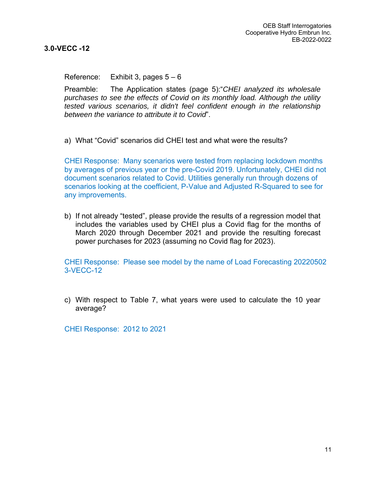**3.0-VECC -12**

Reference: Exhibit 3, pages  $5 - 6$ 

Preamble: The Application states (page 5):"*CHEI analyzed its wholesale purchases to see the effects of Covid on its monthly load. Although the utility tested various scenarios, it didn't feel confident enough in the relationship between the variance to attribute it to Covid*".

a) What "Covid" scenarios did CHEI test and what were the results?

CHEI Response: Many scenarios were tested from replacing lockdown months by averages of previous year or the pre-Covid 2019. Unfortunately, CHEI did not document scenarios related to Covid. Utilities generally run through dozens of scenarios looking at the coefficient, P-Value and Adjusted R-Squared to see for any improvements.

b) If not already "tested", please provide the results of a regression model that includes the variables used by CHEI plus a Covid flag for the months of March 2020 through December 2021 and provide the resulting forecast power purchases for 2023 (assuming no Covid flag for 2023).

CHEI Response: Please see model by the name of Load Forecasting 20220502 3-VECC-12

c) With respect to Table 7, what years were used to calculate the 10 year average?

CHEI Response: 2012 to 2021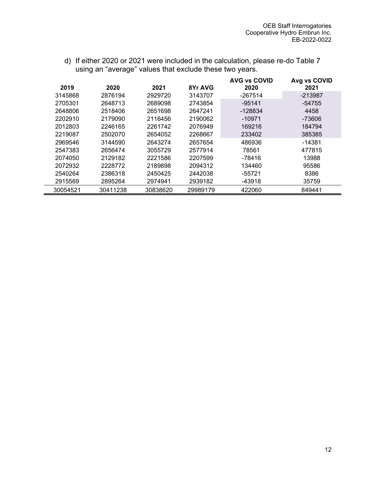| 2019     | 2020     | 2021     | 8Yr AVG  | <b>AVG vs COVID</b><br>2020 | Avg vs COVID<br>2021 |
|----------|----------|----------|----------|-----------------------------|----------------------|
| 3145868  | 2876194  | 2929720  | 3143707  | -267514                     | $-213987$            |
| 2705301  | 2648713  | 2689098  | 2743854  | $-95141$                    | -54755               |
| 2648806  | 2518406  | 2651698  | 2647241  | $-128834$                   | 4458                 |
| 2202910  | 2179090  | 2116456  | 2190062  | $-10971$                    | $-73606$             |
| 2012803  | 2246165  | 2261742  | 2076949  | 169216                      | 184794               |
| 2219087  | 2502070  | 2654052  | 2268667  | 233402                      | 385385               |
| 2969546  | 3144590  | 2643274  | 2657654  | 486936                      | -14381               |
| 2547383  | 2656474  | 3055729  | 2577914  | 78561                       | 477815               |
| 2074050  | 2129182  | 2221586  | 2207599  | -78416                      | 13988                |
| 2072932  | 2228772  | 2189898  | 2094312  | 134460                      | 95586                |
| 2540264  | 2386318  | 2450425  | 2442038  | $-55721$                    | 8386                 |
| 2915569  | 2895264  | 2974941  | 2939182  | -43918                      | 35759                |
| 30054521 | 30411238 | 30838620 | 29989179 | 422060                      | 849441               |

d) If either 2020 or 2021 were included in the calculation, please re-do Table 7 using an "average" values that exclude these two years.